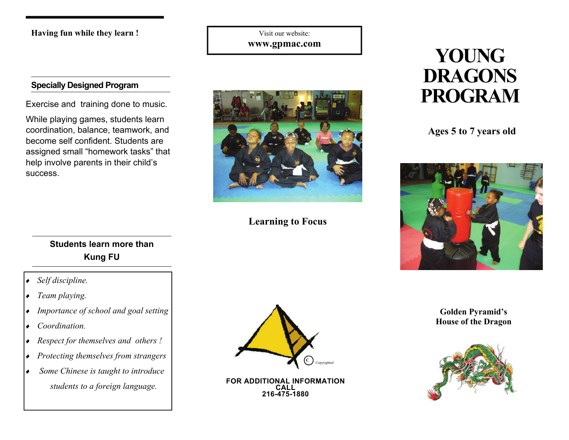**Having fun while they learn !** 

Visit our website: **www.gpmac.com** 

### **Specially Designed Program**

While playing games, students learn coordination, balance, teamwork, and become self confident. Students are assigned small "homework tasks" that help involve parents in their child's success.

### **Students learn more than Kung FU**

- ♦ *Self discipline.*
- ♦ *Team playing.*
- ♦ *Importance of school and goal setting*
- ♦ *Coordination.*
- ♦ *Respect for themselves and others !*
- ♦ *Protecting themselves from strangers*
- ♦ *Some Chinese is taught to introduce students to a foreign language.* **FOR ADDITIONAL INFORMATION CALL**



**Learning to Focus** 

**216-475-1880** 

# **YOUNG DRAGONS Exercise and training done to music.**

**Ages 5 to 7 years old** 



**Golden Pyramid's House of the Dragon**